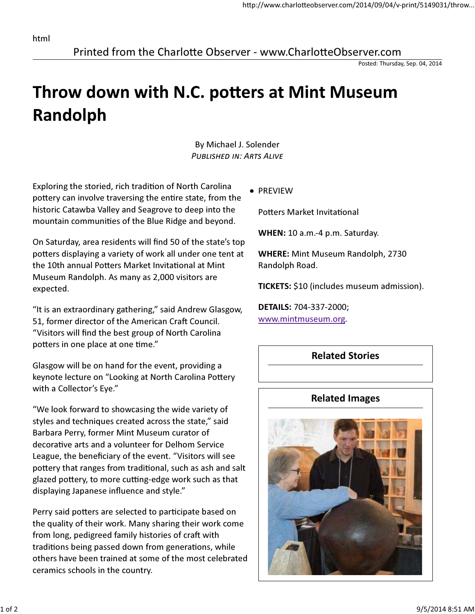Printed from the Charlotte Observer - www.CharlotteObserver.com

Posted: Thursday, Sep. 04, 2014

## Throw down with N.C. potters at Mint Museum Randolph

By Michael J. Solender PUBLISHED IN: ARTS ALIVE

Exploring the storied, rich tradition of North Carolina pottery can involve traversing the entire state, from the historic Catawba Valley and Seagrove to deep into the mountain communities of the Blue Ridge and beyond.

On Saturday, area residents will find 50 of the state's top potters displaying a variety of work all under one tent at the 10th annual Potters Market Invitational at Mint Museum Randolph. As many as 2,000 visitors are expected.

"It is an extraordinary gathering," said Andrew Glasgow, 51, former director of the American Craft Council. "Visitors will find the best group of North Carolina potters in one place at one time."

Glasgow will be on hand for the event, providing a keynote lecture on "Looking at North Carolina Pottery with a Collector's Eye."

"We look forward to showcasing the wide variety of styles and techniques created across the state," said Barbara Perry, former Mint Museum curator of decorative arts and a volunteer for Delhom Service League, the beneficiary of the event. "Visitors will see pottery that ranges from traditional, such as ash and salt glazed pottery, to more cutting-edge work such as that displaying Japanese influence and style."

Perry said potters are selected to participate based on the quality of their work. Many sharing their work come from long, pedigreed family histories of craft with traditions being passed down from generations, while others have been trained at some of the most celebrated ceramics schools in the country.

**• PREVIEW** 

Potters Market Invitational

WHEN: 10 a.m.-4 p.m. Saturday.

WHERE: Mint Museum Randolph, 2730 Randolph Road.

TICKETS: \$10 (includes museum admission).

DETAILS: 704-337-2000; www.mintmuseum.org.

## Related Stories

## Related Images